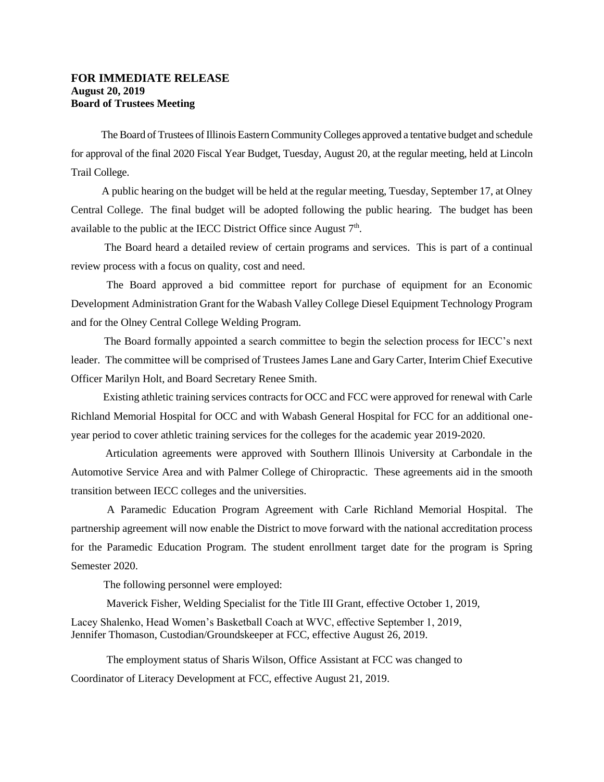## **FOR IMMEDIATE RELEASE August 20, 2019 Board of Trustees Meeting**

 The Board of Trustees of Illinois Eastern Community Colleges approved a tentative budget and schedule for approval of the final 2020 Fiscal Year Budget, Tuesday, August 20, at the regular meeting, held at Lincoln Trail College.

 A public hearing on the budget will be held at the regular meeting, Tuesday, September 17, at Olney Central College. The final budget will be adopted following the public hearing. The budget has been available to the public at the IECC District Office since August  $7<sup>th</sup>$ .

 The Board heard a detailed review of certain programs and services. This is part of a continual review process with a focus on quality, cost and need.

The Board approved a bid committee report for purchase of equipment for an Economic Development Administration Grant for the Wabash Valley College Diesel Equipment Technology Program and for the Olney Central College Welding Program.

 The Board formally appointed a search committee to begin the selection process for IECC's next leader. The committee will be comprised of Trustees James Lane and Gary Carter, Interim Chief Executive Officer Marilyn Holt, and Board Secretary Renee Smith.

 Existing athletic training services contracts for OCC and FCC were approved for renewal with Carle Richland Memorial Hospital for OCC and with Wabash General Hospital for FCC for an additional oneyear period to cover athletic training services for the colleges for the academic year 2019-2020.

 Articulation agreements were approved with Southern Illinois University at Carbondale in the Automotive Service Area and with Palmer College of Chiropractic. These agreements aid in the smooth transition between IECC colleges and the universities.

 A Paramedic Education Program Agreement with Carle Richland Memorial Hospital. The partnership agreement will now enable the District to move forward with the national accreditation process for the Paramedic Education Program. The student enrollment target date for the program is Spring Semester 2020.

The following personnel were employed:

Maverick Fisher, Welding Specialist for the Title III Grant, effective October 1, 2019,

Lacey Shalenko, Head Women's Basketball Coach at WVC, effective September 1, 2019, Jennifer Thomason, Custodian/Groundskeeper at FCC, effective August 26, 2019.

The employment status of Sharis Wilson, Office Assistant at FCC was changed to Coordinator of Literacy Development at FCC, effective August 21, 2019.